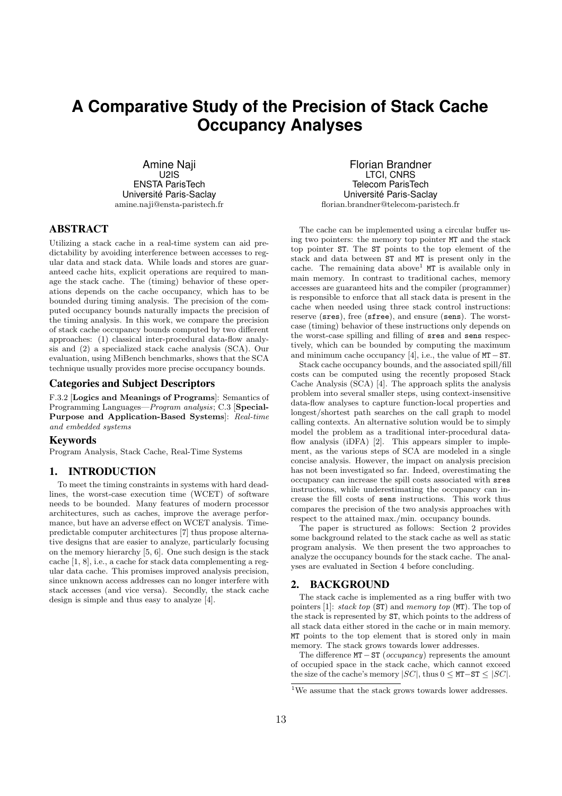# **A Comparative Study of the Precision of Stack Cache Occupancy Analyses**

Amine Naji U2IS ENSTA ParisTech Université Paris-Saclay amine.naji@ensta-paristech.fr

# ABSTRACT

Utilizing a stack cache in a real-time system can aid predictability by avoiding interference between accesses to regular data and stack data. While loads and stores are guaranteed cache hits, explicit operations are required to manage the stack cache. The (timing) behavior of these operations depends on the cache occupancy, which has to be bounded during timing analysis. The precision of the computed occupancy bounds naturally impacts the precision of the timing analysis. In this work, we compare the precision of stack cache occupancy bounds computed by two different approaches: (1) classical inter-procedural data-flow analysis and (2) a specialized stack cache analysis (SCA). Our evaluation, using MiBench benchmarks, shows that the SCA technique usually provides more precise occupancy bounds.

## Categories and Subject Descriptors

F.3.2 [Logics and Meanings of Programs]: Semantics of Programming Languages—*Program analysis*; C.3 [Special-Purpose and Application-Based Systems]: *Real-time and embedded systems*

#### Keywords

Program Analysis, Stack Cache, Real-Time Systems

# 1. INTRODUCTION

To meet the timing constraints in systems with hard deadlines, the worst-case execution time (WCET) of software needs to be bounded. Many features of modern processor architectures, such as caches, improve the average performance, but have an adverse effect on WCET analysis. Timepredictable computer architectures [7] thus propose alternative designs that are easier to analyze, particularly focusing on the memory hierarchy [5, 6]. One such design is the stack cache [1, 8], i.e., a cache for stack data complementing a regular data cache. This promises improved analysis precision, since unknown access addresses can no longer interfere with stack accesses (and vice versa). Secondly, the stack cache design is simple and thus easy to analyze [4].

Florian Brandner LTCI, CNRS Telecom ParisTech Université Paris-Saclay florian.brandner@telecom-paristech.fr

The cache can be implemented using a circular buffer using two pointers: the memory top pointer MT and the stack top pointer ST. The ST points to the top element of the stack and data between ST and MT is present only in the cache. The remaining data above<sup>1</sup>  $MT$  is available only in main memory. In contrast to traditional caches, memory accesses are guaranteed hits and the compiler (programmer) is responsible to enforce that all stack data is present in the cache when needed using three stack control instructions: reserve (sres), free (sfree), and ensure (sens). The worstcase (timing) behavior of these instructions only depends on the worst-case spilling and filling of sres and sens respectively, which can be bounded by computing the maximum and minimum cache occupancy [4], i.e., the value of MT−ST.

Stack cache occupancy bounds, and the associated spill/fill costs can be computed using the recently proposed Stack Cache Analysis (SCA) [4]. The approach splits the analysis problem into several smaller steps, using context-insensitive data-flow analyses to capture function-local properties and longest/shortest path searches on the call graph to model calling contexts. An alternative solution would be to simply model the problem as a traditional inter-procedural dataflow analysis (iDFA) [2]. This appears simpler to implement, as the various steps of SCA are modeled in a single concise analysis. However, the impact on analysis precision has not been investigated so far. Indeed, overestimating the occupancy can increase the spill costs associated with sres instructions, while underestimating the occupancy can increase the fill costs of sens instructions. This work thus compares the precision of the two analysis approaches with respect to the attained max./min. occupancy bounds.

The paper is structured as follows: Section 2 provides some background related to the stack cache as well as static program analysis. We then present the two approaches to analyze the occupancy bounds for the stack cache. The analyses are evaluated in Section 4 before concluding.

## 2. BACKGROUND

The stack cache is implemented as a ring buffer with two pointers [1]: *stack top* (ST) and *memory top* (MT). The top of the stack is represented by ST, which points to the address of all stack data either stored in the cache or in main memory. MT points to the top element that is stored only in main memory. The stack grows towards lower addresses.

The difference MT−ST (*occupancy*) represents the amount of occupied space in the stack cache, which cannot exceed the size of the cache's memory  $|SC|$ , thus  $0 \leq MT - ST \leq |SC|$ .

<sup>&</sup>lt;sup>1</sup>We assume that the stack grows towards lower addresses.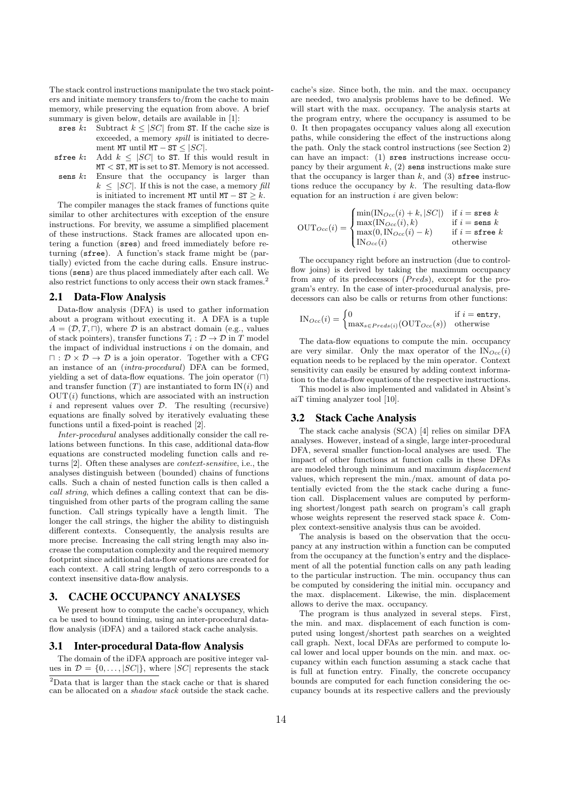The stack control instructions manipulate the two stack pointers and initiate memory transfers to/from the cache to main memory, while preserving the equation from above. A brief summary is given below, details are available in [1]:

- sres k: Subtract  $k \leq |SC|$  from ST. If the cache size is exceeded, a memory *spill* is initiated to decrement MT until MT – ST  $\leq$  |SC|.
- sfree k: Add  $k \leq |SC|$  to ST. If this would result in MT < ST, MT is set to ST. Memory is not accessed. sens  $k$ : Ensure that the occupancy is larger than  $k \leq |SC|$ . If this is not the case, a memory *fill*

is initiated to increment MT until  $MT - ST > k$ . The compiler manages the stack frames of functions quite similar to other architectures with exception of the ensure instructions. For brevity, we assume a simplified placement of these instructions. Stack frames are allocated upon entering a function (sres) and freed immediately before returning (sfree). A function's stack frame might be (partially) evicted from the cache during calls. Ensure instructions (sens) are thus placed immediately after each call. We also restrict functions to only access their own stack frames.<sup>2</sup>

#### 2.1 Data-Flow Analysis

Data-flow analysis (DFA) is used to gather information about a program without executing it. A DFA is a tuple  $A = (\mathcal{D}, T, \Box)$ , where  $\mathcal D$  is an abstract domain (e.g., values of stack pointers), transfer functions  $T_i : \mathcal{D} \to \mathcal{D}$  in T model the impact of individual instructions  $i$  on the domain, and  $\Box : \mathcal{D} \times \mathcal{D} \rightarrow \mathcal{D}$  is a join operator. Together with a CFG an instance of an (*intra-procedural*) DFA can be formed, yielding a set of data-flow equations. The join operator  $(□)$ and transfer function  $(T)$  are instantiated to form  $IN(i)$  and  $OUT(i)$  functions, which are associated with an instruction i and represent values over  $\mathcal{D}$ . The resulting (recursive) equations are finally solved by iteratively evaluating these functions until a fixed-point is reached [2].

*Inter-procedural* analyses additionally consider the call relations between functions. In this case, additional data-flow equations are constructed modeling function calls and returns [2]. Often these analyses are *context-sensitive*, i.e., the analyses distinguish between (bounded) chains of functions calls. Such a chain of nested function calls is then called a *call string*, which defines a calling context that can be distinguished from other parts of the program calling the same function. Call strings typically have a length limit. The longer the call strings, the higher the ability to distinguish different contexts. Consequently, the analysis results are more precise. Increasing the call string length may also increase the computation complexity and the required memory footprint since additional data-flow equations are created for each context. A call string length of zero corresponds to a context insensitive data-flow analysis.

# 3. CACHE OCCUPANCY ANALYSES

We present how to compute the cache's occupancy, which ca be used to bound timing, using an inter-procedural dataflow analysis (iDFA) and a tailored stack cache analysis.

#### 3.1 Inter-procedural Data-flow Analysis

The domain of the iDFA approach are positive integer values in  $\mathcal{D} = \{0, \ldots, |SC|\}$ , where  $|SC|$  represents the stack cache's size. Since both, the min. and the max. occupancy are needed, two analysis problems have to be defined. We will start with the max. occupancy. The analysis starts at the program entry, where the occupancy is assumed to be 0. It then propagates occupancy values along all execution paths, while considering the effect of the instructions along the path. Only the stack control instructions (see Section 2) can have an impact: (1) sres instructions increase occupancy by their argument  $k$ ,  $(2)$  sens instructions make sure that the occupancy is larger than  $k$ , and  $(3)$  sfree instructions reduce the occupancy by  $k$ . The resulting data-flow equation for an instruction  $i$  are given below:

$$
\text{OUT}_{Occ}(i) = \begin{cases} \min(\text{IN}_{Occ}(i) + k, |SC|) & \text{if } i = \text{sres } k \\ \max(\text{IN}_{Occ}(i), k) & \text{if } i = \text{sens } k \\ \max(0, \text{IN}_{Occ}(i) - k) & \text{if } i = \text{sfree } k \\ \text{IN}_{Occ}(i) & \text{otherwise} \end{cases}
$$

The occupancy right before an instruction (due to controlflow joins) is derived by taking the maximum occupancy from any of its predecessors (*Preds*), except for the program's entry. In the case of inter-procedurual analysis, predecessors can also be calls or returns from other functions:

$$
IN_{Occ}(i) = \begin{cases} 0 & \text{if } i = \text{entry}, \\ \max_{s \in Preds(i)}(\text{OUT}_{Occ}(s)) & \text{otherwise} \end{cases}
$$

The data-flow equations to compute the min. occupancy are very similar. Only the max operator of the  $\text{IN}_{Occ}(i)$ equation needs to be replaced by the min operator. Context sensitivity can easily be ensured by adding context information to the data-flow equations of the respective instructions.

This model is also implemented and validated in Absint's aiT timing analyzer tool [10].

#### 3.2 Stack Cache Analysis

The stack cache analysis (SCA) [4] relies on similar DFA analyses. However, instead of a single, large inter-procedural DFA, several smaller function-local analyses are used. The impact of other functions at function calls in these DFAs are modeled through minimum and maximum *displacement* values, which represent the min./max. amount of data potentially evicted from the the stack cache during a function call. Displacement values are computed by performing shortest/longest path search on program's call graph whose weights represent the reserved stack space k. Complex context-sensitive analysis thus can be avoided.

The analysis is based on the observation that the occupancy at any instruction within a function can be computed from the occupancy at the function's entry and the displacement of all the potential function calls on any path leading to the particular instruction. The min. occupancy thus can be computed by considering the initial min. occupancy and the max. displacement. Likewise, the min. displacement allows to derive the max. occupancy.

The program is thus analyzed in several steps. First, the min. and max. displacement of each function is computed using longest/shortest path searches on a weighted call graph. Next, local DFAs are performed to compute local lower and local upper bounds on the min. and max. occupancy within each function assuming a stack cache that is full at function entry. Finally, the concrete occupancy bounds are computed for each function considering the occupancy bounds at its respective callers and the previously

<sup>2</sup>Data that is larger than the stack cache or that is shared can be allocated on a *shadow stack* outside the stack cache.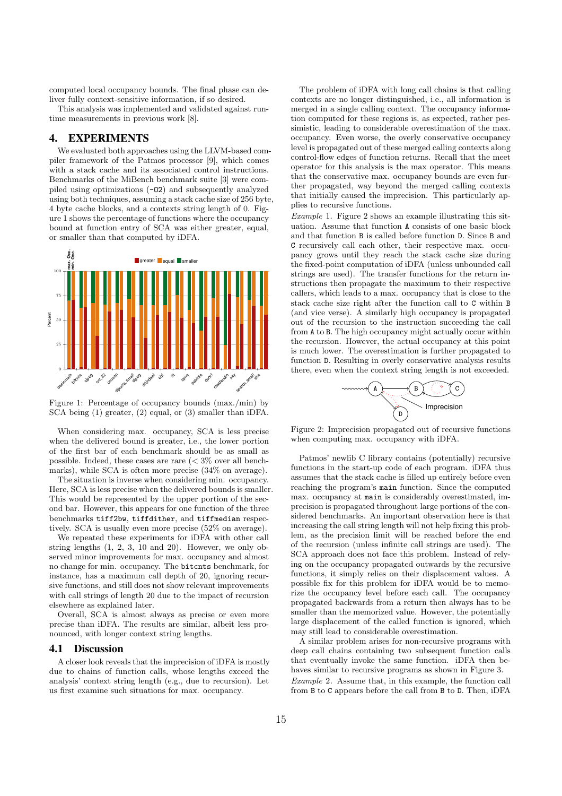computed local occupancy bounds. The final phase can deliver fully context-sensitive information, if so desired.

This analysis was implemented and validated against runtime measurements in previous work [8].

# 4. EXPERIMENTS

We evaluated both approaches using the LLVM-based compiler framework of the Patmos processor [9], which comes with a stack cache and its associated control instructions. Benchmarks of the MiBench benchmark suite [3] were compiled using optimizations (-O2) and subsequently analyzed using both techniques, assuming a stack cache size of 256 byte, 4 byte cache blocks, and a contexts string length of 0. Figure 1 shows the percentage of functions where the occupancy bound at function entry of SCA was either greater, equal, or smaller than that computed by iDFA.



Figure 1: Percentage of occupancy bounds (max./min) by SCA being (1) greater, (2) equal, or (3) smaller than iDFA.

When considering max. occupancy, SCA is less precise when the delivered bound is greater, i.e., the lower portion of the first bar of each benchmark should be as small as possible. Indeed, these cases are rare  $\langle \langle 3 \rangle \rangle$  over all benchmarks), while SCA is often more precise (34% on average).

The situation is inverse when considering min. occupancy. Here, SCA is less precise when the delivered bounds is smaller. This would be represented by the upper portion of the second bar. However, this appears for one function of the three benchmarks tiff2bw, tiffdither, and tiffmedian respectively. SCA is usually even more precise (52% on average).

We repeated these experiments for iDFA with other call string lengths (1, 2, 3, 10 and 20). However, we only observed minor improvements for max. occupancy and almost no change for min. occupancy. The bitcnts benchmark, for instance, has a maximum call depth of 20, ignoring recursive functions, and still does not show relevant improvements with call strings of length 20 due to the impact of recursion elsewhere as explained later.

Overall, SCA is almost always as precise or even more precise than iDFA. The results are similar, albeit less pronounced, with longer context string lengths.

## 4.1 Discussion

A closer look reveals that the imprecision of iDFA is mostly due to chains of function calls, whose lengths exceed the analysis' context string length (e.g., due to recursion). Let us first examine such situations for max. occupancy.

The problem of iDFA with long call chains is that calling contexts are no longer distinguished, i.e., all information is merged in a single calling context. The occupancy information computed for these regions is, as expected, rather pessimistic, leading to considerable overestimation of the max. occupancy. Even worse, the overly conservative occupancy level is propagated out of these merged calling contexts along control-flow edges of function returns. Recall that the meet operator for this analysis is the max operator. This means that the conservative max. occupancy bounds are even further propagated, way beyond the merged calling contexts that initially caused the imprecision. This particularly applies to recursive functions.

*Example* 1*.* Figure 2 shows an example illustrating this situation. Assume that function A consists of one basic block and that function B is called before function D. Since B and C recursively call each other, their respective max. occupancy grows until they reach the stack cache size during the fixed-point computation of iDFA (unless unbounded call strings are used). The transfer functions for the return instructions then propagate the maximum to their respective callers, which leads to a max. occupancy that is close to the stack cache size right after the function call to C within B (and vice verse). A similarly high occupancy is propagated out of the recursion to the instruction succeeding the call from A to B. The high occupancy might actually occur within the recursion. However, the actual occupancy at this point is much lower. The overestimation is further propagated to function D. Resulting in overly conservative analysis results there, even when the context string length is not exceeded.



Figure 2: Imprecision propagated out of recursive functions when computing max. occupancy with iDFA.

Patmos' newlib C library contains (potentially) recursive functions in the start-up code of each program. iDFA thus assumes that the stack cache is filled up entirely before even reaching the program's main function. Since the computed max. occupancy at main is considerably overestimated, imprecision is propagated throughout large portions of the considered benchmarks. An important observation here is that increasing the call string length will not help fixing this problem, as the precision limit will be reached before the end of the recursion (unless infinite call strings are used). The SCA approach does not face this problem. Instead of relying on the occupancy propagated outwards by the recursive functions, it simply relies on their displacement values. A possible fix for this problem for iDFA would be to memorize the occupancy level before each call. The occupancy propagated backwards from a return then always has to be smaller than the memorized value. However, the potentially large displacement of the called function is ignored, which may still lead to considerable overestimation.

A similar problem arises for non-recursive programs with deep call chains containing two subsequent function calls that eventually invoke the same function. iDFA then behaves similar to recursive programs as shown in Figure 3. *Example* 2*.* Assume that, in this example, the function call from B to C appears before the call from B to D. Then, iDFA